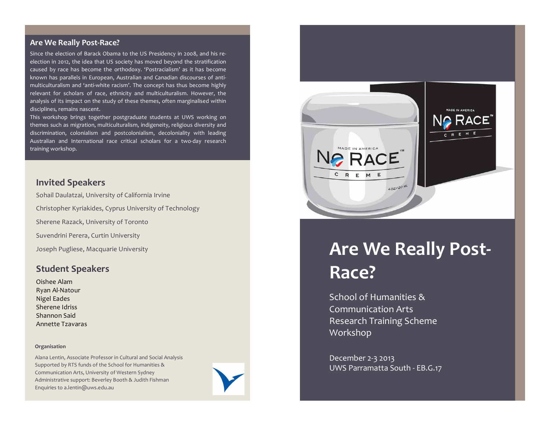### **Are We Really Post-Race?**

Since the election of Barack Obama to the US Presidency in 2008, and his reelection in 2012, the idea that US society has moved beyond the stratification caused by race has become the orthodoxy. 'Postracialism' as it has become known has parallels in European, Australian and Canadian discourses of antimulticulturalism and 'anti-white racism'. The concept has thus become highly relevant for scholars of race, ethnicity and multiculturalism. However, the analysis of its impact on the study of these themes, often marginalised within disciplines, remains nascent.

This workshop brings together postgraduate students at UWS working on themes such as migration, multiculturalism, indigeneity, religious diversity and discrimination, colonialism and postcolonialism, decoloniality with leading Australian and International race critical scholars for a two-day research training workshop.

### **Invited Speakers**

Sohail Daulatzai, University of California Irvine Christopher Kyriakides, Cyprus University of Technology Sherene Razack, University of Toronto Suvendrini Perera, Curtin University

Joseph Pugliese, Macquarie University

### **Student Speakers**

Oishee Alam Ryan Al-Natour **Nigel Eades** Sherene Idriss Shannon Said Annette Tzavaras

### **Organisation**

Alana Lentin, Associate Professor in Cultural and Social Analysis Supported by RTS funds of the School for Humanities & Communication Arts, University of Western Sydney Administrative support: Beverley Booth & Judith Fishman Enquiries to a.lentin@uws.edu.au





# **Are We Really Post-Race?**

School of Humanities & Communication Arts **Research Training Scheme** Workshop

December 2-3 2013 UWS Parramatta South - EB.G.17